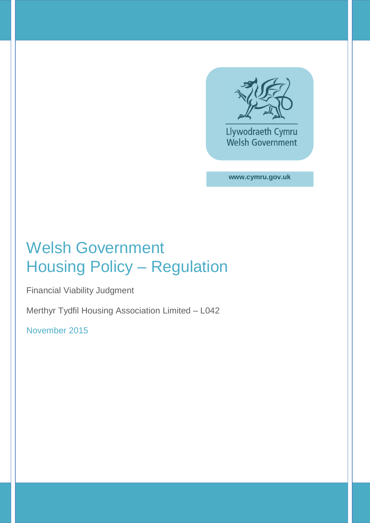

**www.cymru.gov.uk**

## Welsh Government Housing Policy – Regulation

Financial Viability Judgment

Merthyr Tydfil Housing Association Limited – L042

November 2015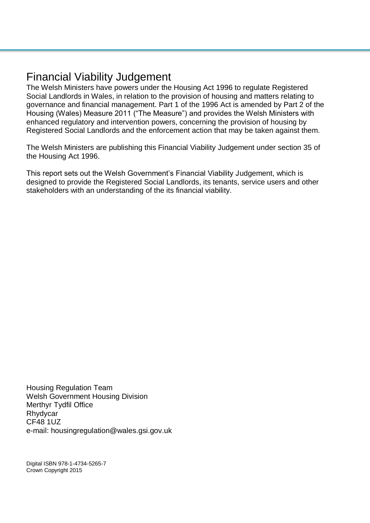### Financial Viability Judgement

The Welsh Ministers have powers under the Housing Act 1996 to regulate Registered Social Landlords in Wales, in relation to the provision of housing and matters relating to governance and financial management. Part 1 of the 1996 Act is amended by Part 2 of the Housing (Wales) Measure 2011 ("The Measure") and provides the Welsh Ministers with enhanced regulatory and intervention powers, concerning the provision of housing by Registered Social Landlords and the enforcement action that may be taken against them.

The Welsh Ministers are publishing this Financial Viability Judgement under section 35 of the Housing Act 1996.

This report sets out the Welsh Government's Financial Viability Judgement, which is designed to provide the Registered Social Landlords, its tenants, service users and other stakeholders with an understanding of the its financial viability.

Housing Regulation Team Welsh Government Housing Division Merthyr Tydfil Office Rhydycar CF48 1UZ e-mail: housingregulation@wales.gsi.gov.uk

Digital ISBN 978-1-4734-5265-7 Crown Copyright 2015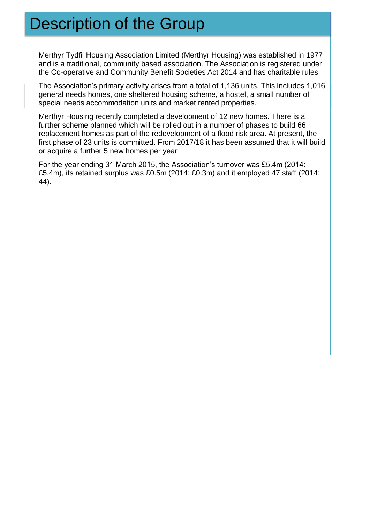## Description of the Group

Merthyr Tydfil Housing Association Limited (Merthyr Housing) was established in 1977 and is a traditional, community based association. The Association is registered under the Co-operative and Community Benefit Societies Act 2014 and has charitable rules.

The Association's primary activity arises from a total of 1,136 units. This includes 1,016 general needs homes, one sheltered housing scheme, a hostel, a small number of special needs accommodation units and market rented properties.

Merthyr Housing recently completed a development of 12 new homes. There is a further scheme planned which will be rolled out in a number of phases to build 66 replacement homes as part of the redevelopment of a flood risk area. At present, the first phase of 23 units is committed. From 2017/18 it has been assumed that it will build or acquire a further 5 new homes per year

For the year ending 31 March 2015, the Association's turnover was £5.4m (2014: £5.4m), its retained surplus was £0.5m (2014: £0.3m) and it employed 47 staff (2014: 44).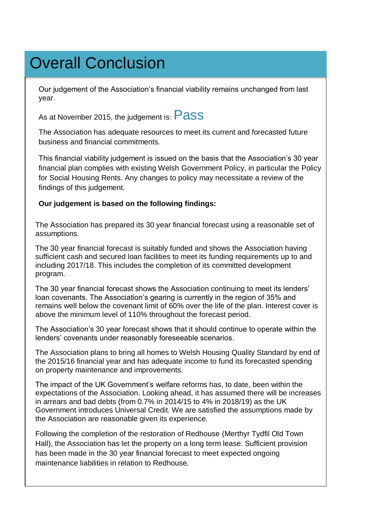# Overall Conclusion

Our judgement of the Association's financial viability remains unchanged from last year.

As at November 2015, the judgement is: **Pass** 

The Association has adequate resources to meet its current and forecasted future business and financial commitments.

This financial viability judgement is issued on the basis that the Association's 30 year financial plan complies with existing Welsh Government Policy, in particular the Policy for Social Housing Rents. Any changes to policy may necessitate a review of the findings of this judgement.

#### **Our judgement is based on the following findings:**

The Association has prepared its 30 year financial forecast using a reasonable set of assumptions.

The 30 year financial forecast is suitably funded and shows the Association having sufficient cash and secured loan facilities to meet its funding requirements up to and including 2017/18. This includes the completion of its committed development program.

The 30 year financial forecast shows the Association continuing to meet its lenders' loan covenants. The Association's gearing is currently in the region of 35% and remains well below the covenant limit of 60% over the life of the plan. Interest cover is above the minimum level of 110% throughout the forecast period.

The Association's 30 year forecast shows that it should continue to operate within the lenders' covenants under reasonably foreseeable scenarios.

The Association plans to bring all homes to Welsh Housing Quality Standard by end of the 2015/16 financial year and has adequate income to fund its forecasted spending on property maintenance and improvements.

The impact of the UK Government's welfare reforms has, to date, been within the expectations of the Association. Looking ahead, it has assumed there will be increases in arrears and bad debts (from 0.7% in 2014/15 to 4% in 2018/19) as the UK Government introduces Universal Credit. We are satisfied the assumptions made by the Association are reasonable given its experience.

Following the completion of the restoration of Redhouse (Merthyr Tydfil Old Town Hall), the Association has let the property on a long term lease. Sufficient provision has been made in the 30 year financial forecast to meet expected ongoing maintenance liabilities in relation to Redhouse.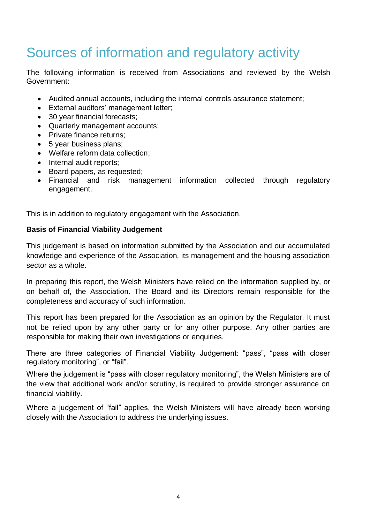### Sources of information and regulatory activity

The following information is received from Associations and reviewed by the Welsh Government:

- Audited annual accounts, including the internal controls assurance statement;
- **External auditors' management letter;**
- 30 year financial forecasts:
- Quarterly management accounts;
- Private finance returns;
- 5 year business plans;
- Welfare reform data collection;
- Internal audit reports;
- Board papers, as requested;
- Financial and risk management information collected through regulatory engagement.

This is in addition to regulatory engagement with the Association.

#### **Basis of Financial Viability Judgement**

This judgement is based on information submitted by the Association and our accumulated knowledge and experience of the Association, its management and the housing association sector as a whole.

In preparing this report, the Welsh Ministers have relied on the information supplied by, or on behalf of, the Association. The Board and its Directors remain responsible for the completeness and accuracy of such information.

This report has been prepared for the Association as an opinion by the Regulator. It must not be relied upon by any other party or for any other purpose. Any other parties are responsible for making their own investigations or enquiries.

There are three categories of Financial Viability Judgement: "pass", "pass with closer regulatory monitoring", or "fail".

Where the judgement is "pass with closer regulatory monitoring", the Welsh Ministers are of the view that additional work and/or scrutiny, is required to provide stronger assurance on financial viability.

Where a judgement of "fail" applies, the Welsh Ministers will have already been working closely with the Association to address the underlying issues.